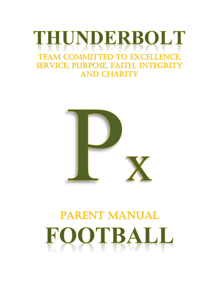



# PARENT MANUAL OOTBALL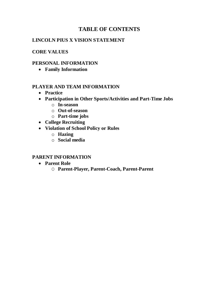### **TABLE OF CONTENTS**

### **LINCOLN PIUS X VISION STATEMENT**

### **CORE VALUES**

### **PERSONAL INFORMATION**

**Family Information**

### **PLAYER AND TEAM INFORMATION**

- **Practice**
- **Participation in Other Sports/Activities and Part-Time Jobs**
	- o **In-season**
	- o **Out-of-season**
	- o **Part-time jobs**
- **College Recruiting**
- **Violation of School Policy or Rules**
	- o **Hazing**
	- o **Social media**

### **PARENT INFORMATION**

- **Parent Role**
	- O **Parent-Player, Parent-Coach, Parent-Parent**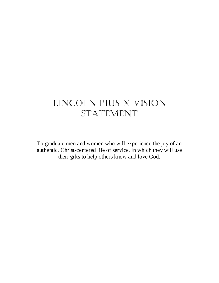## Lincoln Pius X vision STATEMENT

To graduate men and women who will experience the joy of an authentic, Christ-centered life of service, in which they will use their gifts to help others know and love God.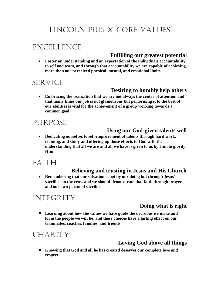### Lincoln Pius X Core Values

### Excellence

### **Fulfilling our greatest potential**

 **Foster an understanding and an expectation of the individuals accountability to self and team, and through that accountability we are capable of achieving more than our perceived physical, mental, and emotional limits**

### **SERVICE**

### **Desiring to humbly help others**

 **Embracing the realization that we are not always the center of attention and that many times our job is not glamourous but performing it to the best of our abilities is vital for the achievement of a group working towards a common goal** 

### **PURPOSE**

### **Using our God-given talents well**

 **Dedicating ourselves to self-improvement of talents through hard work, training, and study and offering up those efforts to God with the understanding that all we are and all we have is given to us by Him to glorify Him**

### FAITH

### **Believing and trusting in Jesus and His Church**

 **Remembering that our salvation is not by our doing but through Jesus' sacrifice on the cross and we should demonstrate that faith through prayer and our own personal sacrifice**

### Integrity

### **Doing what is right**

 **Learning about how the values we have guide the decisions we make and form the people we will be, and these choices have a lasting effect on our teammates, coaches, families, and friends**

### CHARITY

### **Loving God above all things**

 **Knowing that God and all he has created deserves our complete love and respect**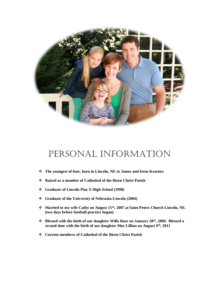

# Personal Information

- **The youngest of four, born in Lincoln, NE to James and Irene Kearney**
- **Raised as a member of Cathedral of the Risen Christ Parish**
- **Graduate of Lincoln Pius X High School (1998)**
- **Graduate of the University of Nebraska-Lincoln (2004)**
- **Married to my wife Cathy on August 11th, 2007 at Saint Peters Church Lincoln, NE. (two days before football practice began)**
- **Blessed with the birth of our daughter Willa Rose on January 28th, 2009. Blessed a second time with the birth of our daughter Mae Lillian on August 9th, 2011**
- **Current members of Cathedral of the Risen Christ Parish**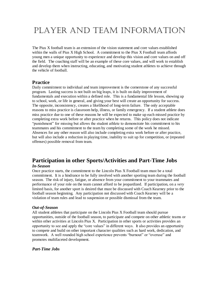# Player and Team Information

The Pius X football team is an extension of the vision statement and core values established within the walls of Pius X High School. A commitment to the Pius X Football team affords young men a unique opportunity to experience and develop this vision and core values on and off the field. The coaching staff will be an example of these core values, and will work to establish and develop them when instructing, educating, and motivating student athletes to achieve through the vehicle of football.

#### **Practice**

Daily commitment to individual and team improvement is the cornerstone of any successful program. Lasting success is not built on big leaps, it is built on daily improvement of fundamentals and execution within a defined role. This is a fundamental life lesson, showing up to school, work, or life in general, and giving your best will create an opportunity for success. The opposite, inconsistency, creates a likelihood of long-term failure. The only acceptable reasons to miss practice is classroom help, illness, or family emergency. If a student athlete does miss practice due to one of these reasons he will be expected to make up each missed practice by completing extra work before or after practice when he returns. This policy does not indicate "punishment" for missing but allows the student athlete to demonstrate his commitment to his teammates and his commitment to the team by completing some of the work he missed. Absences for any other reason will also include completing extra work before or after practice, but will also include a reduction in playing time, inability to suit up for competition, or (repeated offenses) possible removal from team.

#### **Participation in other Sports/Activities and Part-Time Jobs** *In-Season*

Once practice starts, the commitment to the Lincoln Pius X Football team must be a total commitment. It is a hindrance to be fully involved with another sporting team during the football season. The risk of injury, fatigue, or absence from your commitment to your teammates and performance of your role on the team cannot afford to be jeopardized. If participation, on a *very* limited basis, for another sport is desired that must be discussed with Coach Kearney prior to the football season beginning. Any participation not discussed with Coach Kearney will be a violation of team rules and lead to suspension or possible dismissal from the team.

#### *Out-of-Season*

All student athletes that participate on the Lincoln Pius X Football team should pursue opportunities, outside of the football season, to participate and compete on other athletic teams or within other activities at Lincoln Pius X. Participation in other sports or activities provides an opportunity to see and apply the "core values" in different ways. It also provides an opportunity to compete and build on other important character qualities such as hard work, dedication, and teamwork. A well rounded high school experience prevents "burnout" or "overuse" and promotes multifaceted development.

*Part-Time Jobs*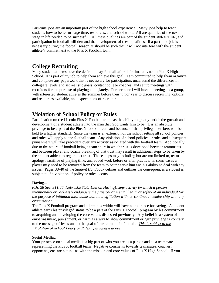Part-time jobs are an important part of the high school experience. Many jobs help to teach students how to better manage time, resources, and school work. All are qualities of the next stage in life needed to be successful. All these qualities are part of the student athlete's life, and participation in football will demand the development of these qualities. If a part-time job is necessary during the football season, it should be such that it will not interfere with the student athlete's commitment to the Pius X Football team.

### **College Recruiting**

Many student athletes have the desire to play football after their time at Lincoln Pius X High School. It is part of my job to help them achieve this goal. I am committed to help them organize and complete any paperwork that is necessary for participation, understand the differences in collegiate levels and set realistic goals, contact college coaches, and set up meetings with recruiters for the purpose of playing collegiately. Furthermore I will have a meeting, as a group, with interested student athletes the summer before their junior year to discuss recruiting, options and resources available, and expectations of recruiters.

### **Violation of School Policy or Rules**

Participation on the Lincoln Pius X Football team has the ability to greatly enrich the growth and development of a student athlete into the man that God wants him to be. It is an absolute privilege to be a part of the Pius X football team and because of that privilege members will be held to a higher standard. Since the team is an extension of the school setting all school policies and rules will apply to the football team. Any violation of school policies or rules and subsequent punishment will take precedent over any activity associated with the football team. Additionally due to the nature of football being a team sport in which trust is developed between teammates and between player and coach, breaking of that trust may result in additional steps to be taken by the student athlete to regain lost trust. Those steps may including but are not limited to, team apology, sacrifice of playing time, and added work before or after practice. In some cases a player may need to be removed from the team to better serve him and his ability to deal with any issues. Pages 38-40 of the *Student Handbook* defines and outlines the consequences a student is subject to if a violation of policy or rules occurs.

#### **Hazing...**

*(Ch. 28 Sec. 311.06: Nebraska State Law on Hazing)...any activity by which a person intentionally or recklessly endangers the physical or mental health or safety of an individual for the purpose of initiation into, admission into, affiliation with, or continued membership with any organization...* 

The Pius X Football program and all entities within will have no tolerance for hazing. A student athlete earns his privileged status to be a part of the Pius X Football program by his commitment to acquiring and developing the core values discussed previously. Any belief in a system of embarrassment, punishment, or harm as a way to show commitment or gain privilege is contrary to the message of Jesus and to the goal of participation in football. *This is subject to the "Violation of School Policy or Rules" paragraph above.*

#### **Social Media…**

Your presence on social media is a big part of who you are as a person and as a teammate representing the Pius X football team. Negative comments towards teammates, coaches, opponents, etc. are not in line with the mission and core values of Pius X High School. If you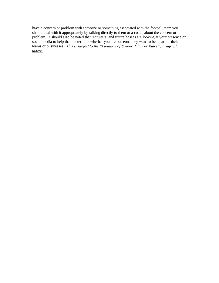have a concern or problem with someone or something associated with the football team you should deal with it appropriately by talking directly to them or a coach about the concern or problem. It should also be noted that recruiters, and future bosses are looking at your presence on social media to help them determine whether you are someone they want to be a part of their teams or businesses. *This is subject to the "Violation of School Policy or Rules" paragraph above.*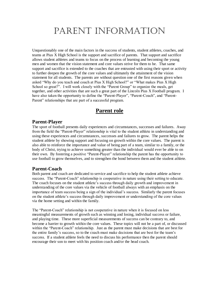# Parent Information

Unquestionably one of the main factors in the success of students, student athletes, coaches, and teams at Pius X High School is the support and sacrifice of parents. That support and sacrifice allows student athletes and teams to focus on the process of learning and becoming the young men and women that the vision statement and core values strive for them to be. That same support and sacrifice is extended to the coaches that are entrusted with using their sport or activity to further deepen the growth of the core values and ultimately the attainment of the vision statement for all students. The parents are without question one of the first reasons given when asked "Why do you teach and coach at Pius X High School?" or "What makes Pius X High School so great?". I will work closely with the "Parent Group" to organize the meals, get together, and other activities that are such a great part of the Lincoln Pius X Football program. I have also taken the opportunity to define the "Parent-Player", "Parent-Coach", and "Parent-Parent" relationships that are part of a successful program.

### **Parent role**

#### **Parent-Player**

The sport of football presents daily experiences and circumstances, successes and failures. Away from the field the "Parent-Player" relationship is vital to the student athlete in understanding and using these experiences and circumstances, successes and failures to grow. The parent helps the student athlete by showing support and focusing on growth within the core values. The parent is also able to reinforce the importance and value of being part of a team, similar to a family, or the body of Christ, trying to achieve something greater than the individual would ever be able to on their own. By fostering a positive "Parent-Player" relationship the parent has the opportunity to use football to grow themselves, and to strengthen the bond between them and the student athlete.

#### **Parent-Coach**

Both parent and coach are dedicated to service and sacrifice to help the student athlete achieve success. The "Parent-Coach" relationship is cooperative in nature using their setting to educate. The coach focuses on the student athlete's success through daily growth and improvement in understanding of the core values via the vehicle of football always with an emphasis on the importance of team success being a sign of the individual's success. Similarly the parent focuses on the student athlete's success through daily improvement or understanding of the core values via the home setting and within the family.

The "Parent-Coach" relationship is not cooperative in nature when it is focused on less meaningful measurements of growth such as winning and losing, individual success or failure, and playing time. These more superficial measurements of success can be contrary to, and become a barrier to growth within the core values. These topics will not be a part of, or discussed within the "Parent-Coach" relationship. Just as the parent must make decisions that are best for the entire family's success, so to the coach must make decisions that are best for the team's success. If a student athlete feels the need to discuss his performance then the parent should encourage their son to meet with his position coach and/or the head coach.